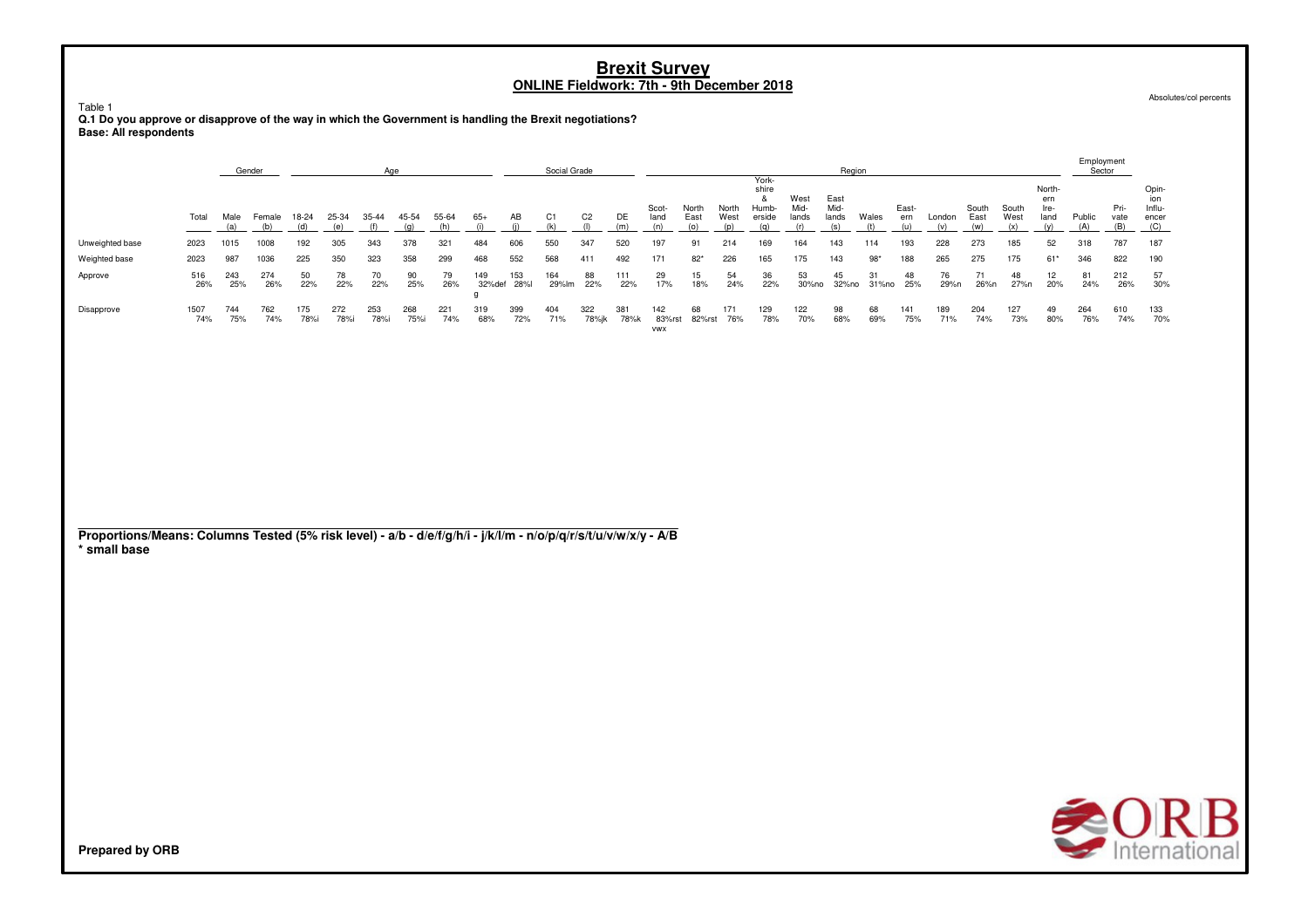Absolutes/col percents

Table 1 **Q.1 Do you approve or disapprove of the way in which the Government is handling the Brexit negotiations? Base: All respondents**

|                 |             |            | Gender     |             |             | Aae         |             |            |               |            | Social Grade |              |             |                             |               |               |                                   |                       | Region                |             |              |            |               |               |                               | Employment<br>Sector |                     |                                 |
|-----------------|-------------|------------|------------|-------------|-------------|-------------|-------------|------------|---------------|------------|--------------|--------------|-------------|-----------------------------|---------------|---------------|-----------------------------------|-----------------------|-----------------------|-------------|--------------|------------|---------------|---------------|-------------------------------|----------------------|---------------------|---------------------------------|
|                 | Total       | Male       | Female     | 18-24       | 25-34       | 35-44       | 45-54       | 55-64      | 65+           | AB         | C1           | C2           | DE          | Scot-<br>land               | North<br>East | North<br>West | York-<br>shire<br>Humb-<br>erside | West<br>Mid-<br>lands | East<br>Mid-<br>lands | Wales       | East-<br>ern | London     | South<br>East | South<br>West | North-<br>ern<br>Ire-<br>land | Public               | Pri-<br>vate<br>(B) | Opin-<br>Influ-<br>encer<br>(C) |
| Unweighted base | 2023        | 1015       | 1008       | 192         | 305         | 343         | 378         | 321        | 484           | 606        | 550          | 347          | 520         | 197                         | 91            | 214           | 169                               | 164                   | 143                   | 114         | 193          | 228        | 273           | 185           | 52                            | 318                  | 787                 | 187                             |
| Weighted base   | 2023        | 987        | 1036       | 225         | 350         | 323         | 358         | 299        | 468           | 552        | 568          | 411          | 492         | 171                         | $82*$         | 226           | 165                               | 175                   | 143                   | $98*$       | 188          | 265        | 275           | 175           | $61*$                         | 346                  | 822                 | 190                             |
| Approve         | 516<br>26%  | 243<br>25% | 274<br>26% | 50<br>22%   | 78<br>22%   | 70<br>22%   | 90<br>25%   | 79<br>26%  | 149<br>32%def | 153<br>28% | 164<br>29%lm | 88<br>22%    | 111<br>22%  | 29<br>17%                   | 15<br>18%     | 54<br>24%     | 36<br>22%                         | 53<br>30%no           | 45<br>32%no           | 31<br>31%no | 48<br>25%    | 76<br>29%n | 26%n          | 48<br>27%n    | 12<br>20%                     | 81<br>24%            | 212<br>26%          | -57<br>30%                      |
| Disapprove      | 1507<br>74% | 744<br>75% | 762<br>74% | 175<br>78%i | 272<br>78%i | 253<br>78%i | 268<br>75%i | 221<br>74% | 319<br>68%    | 399<br>72% | 404<br>71%   | 322<br>78%jk | 381<br>78%k | 142<br>83%rst<br><b>VWX</b> | 68<br>82%rst  | 171<br>76%    | 129<br>78%                        | 122<br>70%            | 98<br>68%             | 68<br>69%   | 141<br>75%   | 189<br>71% | 204<br>74%    | 127<br>73%    | 49<br>80%                     | 264<br>76%           | 610<br>74%          | 133<br>70%                      |

**Proportions/Means: Columns Tested (5% risk level) - a/b - d/e/f/g/h/i - j/k/l/m - n/o/p/q/r/s/t/u/v/w/x/y - A/B \* small base**



**Prepared by ORB**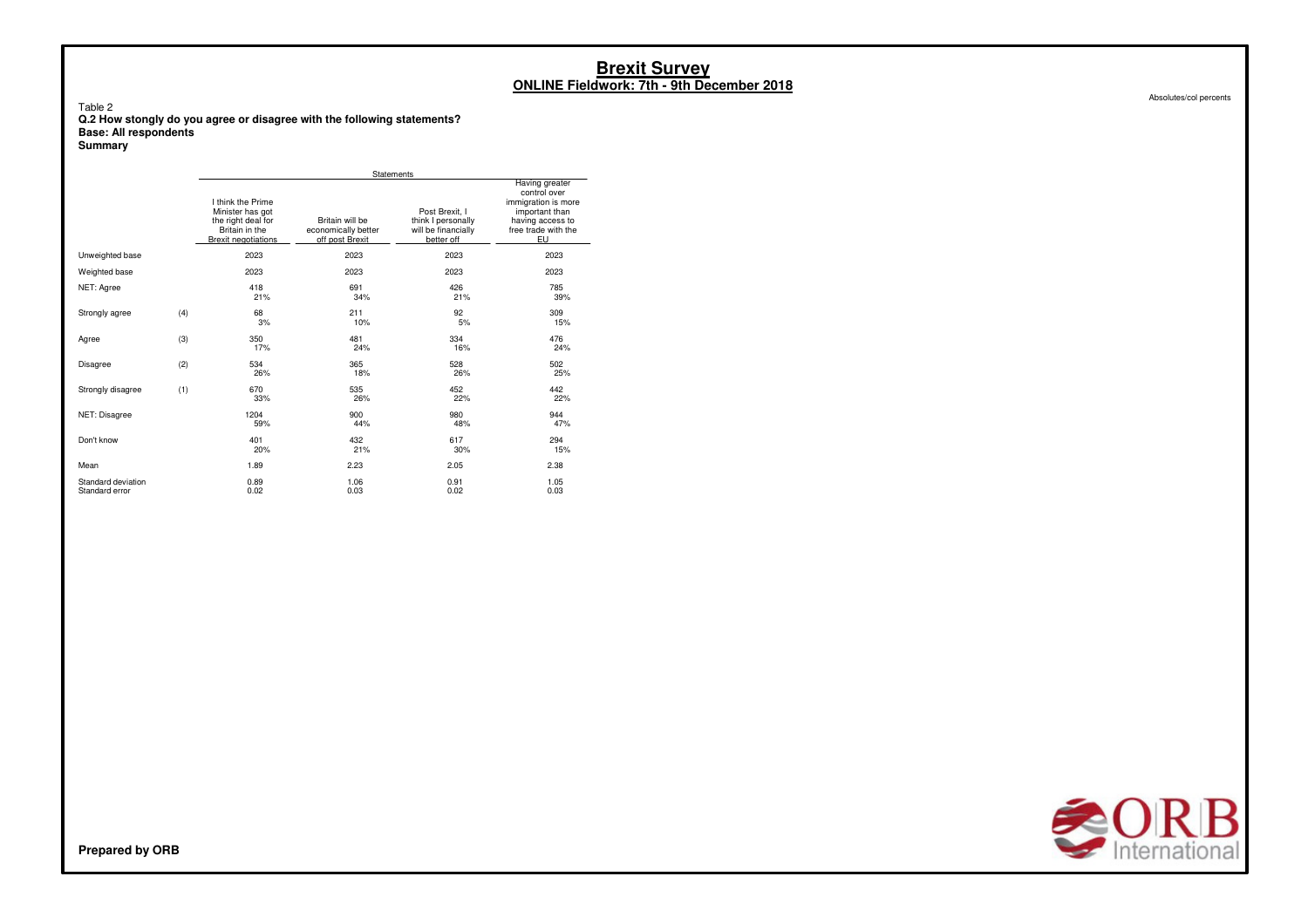Absolutes/col percents

#### Table 2 **Q.2 How stongly do you agree or disagree with the following statements? Base: All respondents**

**Summary**

|                                      |     |                                                                                                             | Statements                                                |                                                                           |                                                                                                                          |
|--------------------------------------|-----|-------------------------------------------------------------------------------------------------------------|-----------------------------------------------------------|---------------------------------------------------------------------------|--------------------------------------------------------------------------------------------------------------------------|
|                                      |     | I think the Prime<br>Minister has got<br>the right deal for<br>Britain in the<br><b>Brexit negotiations</b> | Britain will be<br>economically better<br>off post Brexit | Post Brexit. I<br>think I personally<br>will be financially<br>better off | Having greater<br>control over<br>immigration is more<br>important than<br>having access to<br>free trade with the<br>EU |
| Unweighted base                      |     | 2023                                                                                                        | 2023                                                      | 2023                                                                      | 2023                                                                                                                     |
| Weighted base                        |     | 2023                                                                                                        | 2023                                                      | 2023                                                                      | 2023                                                                                                                     |
| NET: Agree                           |     | 418<br>21%                                                                                                  | 691<br>34%                                                | 426<br>21%                                                                | 785<br>39%                                                                                                               |
| Strongly agree                       | (4) | 68<br>3%                                                                                                    | 211<br>10%                                                | 92<br>5%                                                                  | 309<br>15%                                                                                                               |
| Agree                                | (3) | 350<br>17%                                                                                                  | 481<br>24%                                                | 334<br>16%                                                                | 476<br>24%                                                                                                               |
| Disagree                             | (2) | 534<br>26%                                                                                                  | 365<br>18%                                                | 528<br>26%                                                                | 502<br>25%                                                                                                               |
| Strongly disagree                    | (1) | 670<br>33%                                                                                                  | 535<br>26%                                                | 452<br>22%                                                                | 442<br>22%                                                                                                               |
| NET: Disagree                        |     | 1204<br>59%                                                                                                 | 900<br>44%                                                | 980<br>48%                                                                | 944<br>47%                                                                                                               |
| Don't know                           |     | 401<br>20%                                                                                                  | 432<br>21%                                                | 617<br>30%                                                                | 294<br>15%                                                                                                               |
| Mean                                 |     | 1.89                                                                                                        | 2.23                                                      | 2.05                                                                      | 2.38                                                                                                                     |
| Standard deviation<br>Standard error |     | 0.89<br>0.02                                                                                                | 1.06<br>0.03                                              | 0.91<br>0.02                                                              | 1.05<br>0.03                                                                                                             |

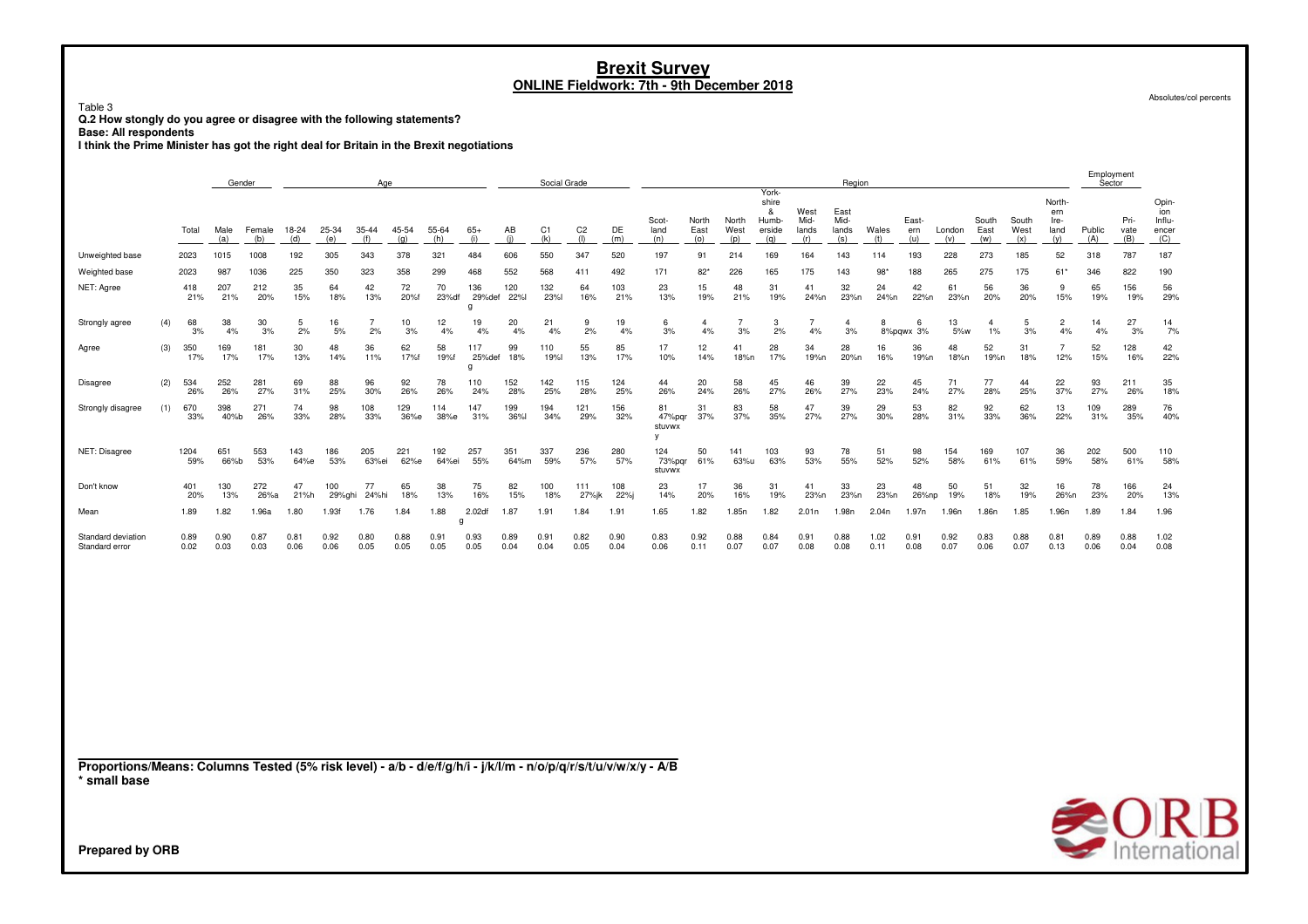Table 3 **Q.2 How stongly do you agree or disagree with the following statements?**

**Base: All respondents**

**I think the Prime Minister has got the right deal for Britain in the Brexit negotiations**

|                                                                                                                                 |     |              | Gender<br>Age |               |              |               |                      |              |              |                    |              | Social Grade          |                       |              |                         |                      |                      |                                               |                              | Region                       |              |                     |               |                         |                      |                                      | Employment<br>Sector |                     |                                        |
|---------------------------------------------------------------------------------------------------------------------------------|-----|--------------|---------------|---------------|--------------|---------------|----------------------|--------------|--------------|--------------------|--------------|-----------------------|-----------------------|--------------|-------------------------|----------------------|----------------------|-----------------------------------------------|------------------------------|------------------------------|--------------|---------------------|---------------|-------------------------|----------------------|--------------------------------------|----------------------|---------------------|----------------------------------------|
|                                                                                                                                 |     | Total        | Male<br>(a)   | Female<br>(b) | 18-24<br>(d) | 25-34<br>(e)  | 35-44<br>(f)         | 45-54<br>(g) | 55-64<br>(h) | $65+$<br>(i)       | AB<br>(i)    | C <sub>1</sub><br>(k) | C <sub>2</sub><br>(1) | DE<br>(m)    | Scot-<br>land<br>(n)    | North<br>East<br>(o) | North<br>West<br>(p) | York-<br>shire<br>&<br>Humb-<br>erside<br>(q) | West<br>Mid-<br>lands<br>(r) | East<br>Mid-<br>lands<br>(s) | Wales<br>(t) | East-<br>ern<br>(u) | London<br>(v) | South<br>East<br>(w)    | South<br>West<br>(x) | North-<br>ern<br>Ire-<br>land<br>(y) | Public<br>(A)        | Pri-<br>vate<br>(B) | Opin-<br>ion<br>Influ-<br>encer<br>(C) |
| Unweighted base                                                                                                                 |     | 2023         | 1015          | 1008          | 192          | 305           | 343                  | 378          | 321          | 484                | 606          | 550                   | 347                   | 520          | 197                     | 91                   | 214                  | 169                                           | 164                          | 143                          | 114          | 193                 | 228           | 273                     | 185                  | 52                                   | 318                  | 787                 | 187                                    |
| Weighted base                                                                                                                   |     | 2023         | 987           | 1036          | 225          | 350           | 323                  | 358          | 299          | 468                | 552          | 568                   | 411                   | 492          | 171                     | $82*$                | 226                  | 165                                           | 175                          | 143                          | $98*$        | 188                 | 265           | 275                     | 175                  | $61*$                                | 346                  | 822                 | 190                                    |
| NET: Agree                                                                                                                      |     | 418<br>21%   | 207<br>21%    | 212<br>20%    | 35<br>15%    | 64<br>18%     | 42<br>13%            | 72<br>20%f   | 70<br>23% df | 136<br>29%def<br>a | 120<br>22%l  | 132<br><b>23%</b>     | 64<br>16%             | 103<br>21%   | 23<br>13%               | 15<br>19%            | 48<br>21%            | 31<br>19%                                     | 41<br>24%n                   | 32<br>23%n                   | 24<br>24%n   | 42<br>22%n          | 61<br>23%n    | 56<br>20%               | 36<br>20%            | 9<br>15%                             | 65<br>19%            | 156<br>19%          | 56<br>29%                              |
| Strongly agree                                                                                                                  | (4) | 68<br>3%     | 38<br>4%      | 30<br>3%      | 5<br>2%      | 16<br>5%      | $\overline{7}$<br>2% | 10<br>3%     | 12<br>4%     | 19<br>4%           | 20<br>4%     | 21<br>4%              | 9<br>2%               | 19<br>4%     | 6<br>3%                 | $\overline{4}$<br>4% | $\overline{7}$<br>3% | 3<br>2%                                       | $\overline{7}$<br>4%         | $\overline{4}$<br>3%         | 8            | 6<br>8%pqwx 3%      | 13<br>5%w     | $\overline{4}$<br>$1\%$ | 5<br>3%              | $\overline{2}$<br>4%                 | 14<br>4%             | 27<br>3%            | 14<br>7%                               |
| Agree                                                                                                                           | (3) | 350<br>17%   | 169<br>17%    | 181<br>17%    | 30<br>13%    | 48<br>14%     | 36<br>11%            | 62<br>17%f   | 58<br>19%f   | 117<br>25%def<br>g | 99<br>18%    | 110<br><b>19%</b>     | 55<br>13%             | 85<br>17%    | 17<br>10%               | 12<br>14%            | 41<br>18%n           | 28<br>17%                                     | 34<br>19%n                   | 28<br>20%n                   | 16<br>16%    | 36<br>19%n          | 48<br>18%n    | 52<br>19%n              | 31<br>18%            | $\overline{7}$<br>12%                | 52<br>15%            | 128<br>16%          | 42<br>22%                              |
| Disagree                                                                                                                        | (2) | 534<br>26%   | 252<br>26%    | 281<br>27%    | 69<br>31%    | 88<br>25%     | 96<br>30%            | 92<br>26%    | 78<br>26%    | 110<br>24%         | 152<br>28%   | 142<br>25%            | 115<br>28%            | 124<br>25%   | 44<br>26%               | 20<br>24%            | 58<br>26%            | 45<br>27%                                     | 46<br>26%                    | 39<br>27%                    | 22<br>23%    | 45<br>24%           | 71<br>27%     | 77<br>28%               | 44<br>25%            | 22<br>37%                            | 93<br>27%            | 211<br>26%          | 35<br>18%                              |
| Strongly disagree                                                                                                               | (1) | 670<br>33%   | 398<br>40%b   | 271<br>26%    | 74<br>33%    | 98<br>28%     | 108<br>33%           | 129<br>36%е  | 114<br>38%е  | 147<br>31%         | 199<br>36%l  | 194<br>34%            | 121<br>29%            | 156<br>32%   | 81<br>47%pqr<br>stuvwx  | 31<br>37%            | 83<br>37%            | 58<br>35%                                     | 47<br>27%                    | 39<br>27%                    | 29<br>30%    | 53<br>28%           | 82<br>31%     | 92<br>33%               | 62<br>36%            | 13<br>22%                            | 109<br>31%           | 289<br>35%          | 76<br>40%                              |
| NET: Disagree                                                                                                                   |     | 1204<br>59%  | 651<br>66%b   | 553<br>53%    | 143<br>64%e  | 186<br>53%    | 205<br>63%ei         | 221<br>62%e  | 192<br>64%ei | 257<br>55%         | 351<br>64%m  | 337<br>59%            | 236<br>57%            | 280<br>57%   | 124<br>73%pqr<br>stuvwx | 50<br>61%            | 141<br>63%u          | 103<br>63%                                    | 93<br>53%                    | 78<br>55%                    | 51<br>52%    | 98<br>52%           | 154<br>58%    | 169<br>61%              | 107<br>61%           | 36<br>59%                            | 202<br>58%           | 500<br>61%          | 110<br>58%                             |
| Don't know                                                                                                                      |     | 401<br>20%   | 130<br>13%    | 272<br>26%a   | 47<br>21%h   | 100<br>29%ghi | 77<br>24%hi          | 65<br>18%    | 38<br>13%    | 75<br>16%          | 82<br>15%    | 100<br>18%            | 111<br>27%jk          | 108<br>22%j  | 23<br>14%               | 17<br>20%            | 36<br>16%            | 31<br>19%                                     | 41<br>23%n                   | 33<br>23%n                   | 23<br>23%n   | 48<br>26%np         | 50<br>19%     | 51<br>18%               | 32<br>19%            | 16<br>26%n                           | 78<br>23%            | 166<br>20%          | 24<br>13%                              |
| Mean                                                                                                                            |     | 1.89         | 1.82          | 1.96a         | 1.80         | 1.93f         | 1.76                 | 1.84         | 1.88         | 2.02df<br>q        | 1.87         | 1.91                  | 1.84                  | 1.91         | 1.65                    | 1.82                 | 1.85n                | 1.82                                          | 2.01n                        | 1.98n                        | 2.04n        | 1.97n               | 1.96n         | 1.86n                   | 1.85                 | 1.96n                                | 1.89                 | 1.84                | 1.96                                   |
| Standard deviation<br>Standard error                                                                                            |     | 0.89<br>0.02 | 0.90<br>0.03  | 0.87<br>0.03  | 0.81<br>0.06 | 0.92<br>0.06  | 0.80<br>0.05         | 0.88<br>0.05 | 0.91<br>0.05 | 0.93<br>0.05       | 0.89<br>0.04 | 0.91<br>0.04          | 0.82<br>0.05          | 0.90<br>0.04 | 0.83<br>0.06            | 0.92<br>0.11         | 0.88<br>0.07         | 0.84<br>0.07                                  | 0.91<br>0.08                 | 0.88<br>0.08                 | 1.02<br>0.11 | 0.91<br>0.08        | 0.92<br>0.07  | 0.83<br>0.06            | 0.88<br>0.07         | 0.81<br>0.13                         | 0.89<br>0.06         | 0.88<br>0.04        | 1.02<br>0.08                           |
| Proportions/Means: Columns Tested (5% risk level) - a/b - d/e/f/g/h/i - j/k/l/m - n/o/p/q/r/s/t/u/v/w/x/y - A/B<br>* small base |     |              |               |               |              |               |                      |              |              |                    |              |                       |                       |              |                         |                      |                      |                                               |                              |                              |              |                     |               |                         |                      |                                      |                      |                     |                                        |
| <b>Prepared by ORB</b>                                                                                                          |     |              |               |               |              |               |                      |              |              |                    |              |                       |                       |              |                         |                      |                      |                                               |                              |                              |              |                     |               |                         |                      |                                      |                      |                     | <b>SORB</b>                            |

Absolutes/col percents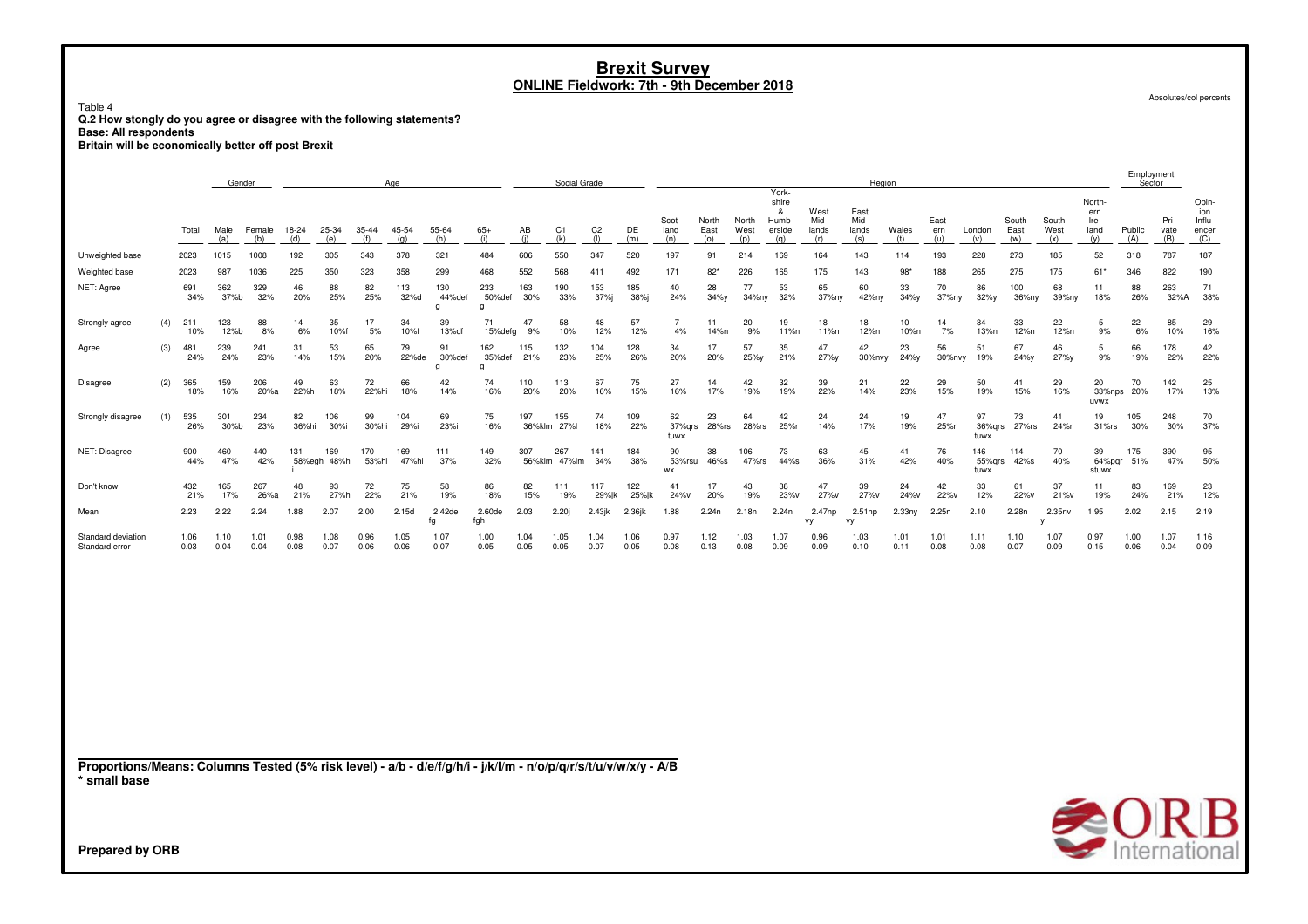Table 4 **Q.2 How stongly do you agree or disagree with the following statements?**

**Base: All respondents**

**Britain will be economically better off post Brexit**

|                                                                                                                 |     |              | Gender       |               |              |                     |              | Age          |                    |                    |               | Social Grade          |                       |              |                      |                      |                      |                                               |                              | Region                       |                    |                     |                       |                      |                      |                                      | Sector        |                     |                                        |
|-----------------------------------------------------------------------------------------------------------------|-----|--------------|--------------|---------------|--------------|---------------------|--------------|--------------|--------------------|--------------------|---------------|-----------------------|-----------------------|--------------|----------------------|----------------------|----------------------|-----------------------------------------------|------------------------------|------------------------------|--------------------|---------------------|-----------------------|----------------------|----------------------|--------------------------------------|---------------|---------------------|----------------------------------------|
|                                                                                                                 |     | Total        | Male<br>(a)  | Female<br>(b) | 18-24<br>(d) | 25-34<br>(e)        | 35-44<br>(f) | 45-54<br>(g) | 55-64<br>(h)       | $65+$<br>(i)       | AB<br>(i)     | C <sub>1</sub><br>(k) | C <sub>2</sub><br>(1) | DE<br>(m)    | Scot-<br>land<br>(n) | North<br>East<br>(o) | North<br>West<br>(p) | York-<br>shire<br>&<br>Humb-<br>erside<br>(q) | West<br>Mid-<br>lands<br>(r) | East<br>Mid-<br>lands<br>(s) | Wales<br>(t)       | East-<br>ern<br>(u) | London<br>(v)         | South<br>East<br>(w) | South<br>West<br>(x) | North-<br>ern<br>Ire-<br>land<br>(y) | Public<br>(A) | Pri-<br>vate<br>(B) | Opin-<br>ion<br>Influ-<br>encer<br>(C) |
| Unweighted base                                                                                                 |     | 2023         | 1015         | 1008          | 192          | 305                 | 343          | 378          | 321                | 484                | 606           | 550                   | 347                   | 520          | 197                  | 91                   | 214                  | 169                                           | 164                          | 143                          | 114                | 193                 | 228                   | 273                  | 185                  | 52                                   | 318           | 787                 | 187                                    |
| Weighted base                                                                                                   |     | 2023         | 987          | 1036          | 225          | 350                 | 323          | 358          | 299                | 468                | 552           | 568                   | 411                   | 492          | 171                  | $82*$                | 226                  | 165                                           | 175                          | 143                          | 98                 | 188                 | 265                   | 275                  | 175                  | 61*                                  | 346           | 822                 | 190                                    |
| NET: Agree                                                                                                      |     | 691<br>34%   | 362<br>37%b  | 329<br>32%    | 46<br>20%    | 88<br>25%           | 82<br>25%    | 113<br>32%d  | 130<br>44%def<br>q | 233<br>50%def<br>g | 163<br>30%    | 190<br>33%            | 153<br>37%j           | 185<br>38%j  | 40<br>24%            | 28<br>34%y           | 77<br>34%ny          | 53<br>32%                                     | 65<br>37%ny                  | 60<br>42%ny                  | 33<br>$34\%$ y     | 70<br>37%ny         | 86<br>32%y            | 100<br>36%ny         | 68<br>39%ny          | 11<br>18%                            | 88<br>26%     | 263<br>32%A         | 71<br>38%                              |
| Strongly agree                                                                                                  | (4) | 211<br>10%   | 123<br>12%b  | 88<br>8%      | 14<br>6%     | 35<br>10%f          | 17<br>5%     | 34<br>10%f   | 39<br>13%df        | 71<br>15%defg      | 47<br>9%      | 58<br>10%             | 48<br>12%             | 57<br>12%    | $\overline{7}$<br>4% | 11<br>14%n           | 20<br>9%             | 19<br>11%n                                    | 18<br>11%n                   | 18<br>12%n                   | 10<br>10%n         | 14<br>7%            | 34<br>13%n            | 33<br>12%n           | 22<br>12%n           | 5<br>9%                              | 22<br>6%      | 85<br>10%           | 29<br>16%                              |
| Agree                                                                                                           | (3) | 481<br>24%   | 239<br>24%   | 241<br>23%    | 31<br>14%    | 53<br>15%           | 65<br>20%    | 79<br>22%de  | 91<br>30%def<br>q  | 162<br>35%def<br>a | 115<br>21%    | 132<br>23%            | 104<br>25%            | 128<br>26%   | 34<br>20%            | 17<br>20%            | 57<br>25%y           | 35<br>21%                                     | 47<br>27%y                   | 42<br>30%nvy                 | 23<br>24%y         | 56<br>30%nvy        | 51<br>19%             | 67<br>24%y           | 46<br>27%y           | 5<br>9%                              | 66<br>19%     | 178<br>22%          | 42<br>22%                              |
| Disagree                                                                                                        | (2) | 365<br>18%   | 159<br>16%   | 206<br>20%a   | 49<br>22%h   | 63<br>18%           | 72<br>22%hi  | 66<br>18%    | 42<br>14%          | 74<br>16%          | 110<br>20%    | 113<br>20%            | 67<br>16%             | 75<br>15%    | 27<br>16%            | 14<br>17%            | 42<br>19%            | 32<br>19%                                     | 39<br>22%                    | 21<br>14%                    | 22<br>23%          | 29<br>15%           | 50<br>19%             | 41<br>15%            | 29<br>16%            | 20<br>33%nps<br>uvwx                 | 70<br>20%     | 142<br>17%          | 25<br>13%                              |
| Strongly disagree                                                                                               | (1) | 535<br>26%   | 301<br>30%b  | 234<br>23%    | 82<br>36%hi  | 106<br>30%i         | 99<br>30%hi  | 104<br>29%i  | 69<br>23%i         | 75<br>16%          | 197           | 155<br>36%klm 27%l    | 74<br>18%             | 109<br>22%   | 62<br>37%grs<br>tuwx | 23<br>28%rs          | 64<br>28%rs          | 42<br>25%r                                    | 24<br>14%                    | 24<br>17%                    | 19<br>19%          | 47<br>25%r          | 97<br>36%grs<br>tuwx  | 73<br>27%rs          | 41<br>24%r           | 19<br>$31\%$ rs                      | 105<br>30%    | 248<br>30%          | 70<br>37%                              |
| NET: Disagree                                                                                                   |     | 900<br>44%   | 460<br>47%   | 440<br>42%    | 131          | 169<br>58%egh 48%hi | 170<br>53%hi | 169<br>47%hi | 111<br>37%         | 149<br>32%         | 307<br>56%klm | 267<br>47%lm          | 141<br>34%            | 184<br>38%   | 90<br>53%rsu<br>WX   | 38<br>46%s           | 106<br>47%rs         | 73<br>44%s                                    | 63<br>36%                    | 45<br>31%                    | 41<br>42%          | 76<br>40%           | 146<br>55%grs<br>tuwx | 114<br>42%s          | 70<br>40%            | 39<br>64%pqr<br>stuwx                | 175<br>51%    | 390<br>47%          | 95<br>50%                              |
| Don't know                                                                                                      |     | 432<br>21%   | 165<br>17%   | 267<br>26%a   | 48<br>21%    | 93<br>27%hi         | 72<br>22%    | 75<br>21%    | 58<br>19%          | 86<br>18%          | 82<br>15%     | 111<br>19%            | 117<br>29%jk          | 122<br>25%jk | 41<br>24%v           | 17<br>20%            | 43<br>19%            | 38<br>23%v                                    | 47<br>27%v                   | 39<br>27%v                   | 24<br>24%v         | 42<br>22%v          | 33<br>12%             | 61<br>22%v           | 37<br>21%v           | 11<br>19%                            | 83<br>24%     | 169<br>21%          | 23<br>12%                              |
| Mean                                                                                                            |     | 2.23         | 2.22         | 2.24          | 1.88         | 2.07                | 2.00         | 2.15d        | 2.42de<br>fg       | 2.60de<br>fgh      | 2.03          | 2.20i                 | 2.43jk                | 2.36jk       | 1.88                 | 2.24n                | 2.18n                | 2.24n                                         | 2.47np<br>vy                 | 2.51np<br>vy                 | 2.33n <sub>V</sub> | 2.25n               | 2.10                  | 2.28n                | 2.35nv               | 1.95                                 | 2.02          | 2.15                | 2.19                                   |
| Standard deviation<br>Standard error                                                                            |     | 1.06<br>0.03 | 1.10<br>0.04 | 1.01<br>0.04  | 0.98<br>0.08 | 1.08<br>0.07        | 0.96<br>0.06 | 1.05<br>0.06 | 1.07<br>0.07       | 1.00<br>0.05       | 1.04<br>0.05  | 1.05<br>0.05          | 1.04<br>0.07          | 1.06<br>0.05 | 0.97<br>0.08         | 1.12<br>0.13         | 1.03<br>0.08         | 1.07<br>0.09                                  | 0.96<br>0.09                 | 1.03<br>0.10                 | 1.01<br>0.11       | 1.01<br>0.08        | 1.11<br>0.08          | 1.10<br>0.07         | 1.07<br>0.09         | 0.97<br>0.15                         | 1.00<br>0.06  | 1.07<br>0.04        | 1.16<br>0.09                           |
| Proportions/Means: Columns Tested (5% risk level) - a/b - d/e/f/g/h/i - j/k/l/m - n/o/p/q/r/s/t/u/v/w/x/y - A/B |     |              |              |               |              |                     |              |              |                    |                    |               |                       |                       |              |                      |                      |                      |                                               |                              |                              |                    |                     |                       |                      |                      |                                      |               |                     |                                        |
| * small base                                                                                                    |     |              |              |               |              |                     |              |              |                    |                    |               |                       |                       |              |                      |                      |                      |                                               |                              |                              |                    |                     |                       |                      |                      |                                      |               |                     |                                        |
|                                                                                                                 |     |              |              |               |              |                     |              |              |                    |                    |               |                       |                       |              |                      |                      |                      |                                               |                              |                              |                    |                     |                       |                      |                      |                                      |               |                     | $\bigotimes_{\text{International}}$    |
| <b>Prepared by ORB</b>                                                                                          |     |              |              |               |              |                     |              |              |                    |                    |               |                       |                       |              |                      |                      |                      |                                               |                              |                              |                    |                     |                       |                      |                      |                                      |               |                     |                                        |

Absolutes/col percents

Employment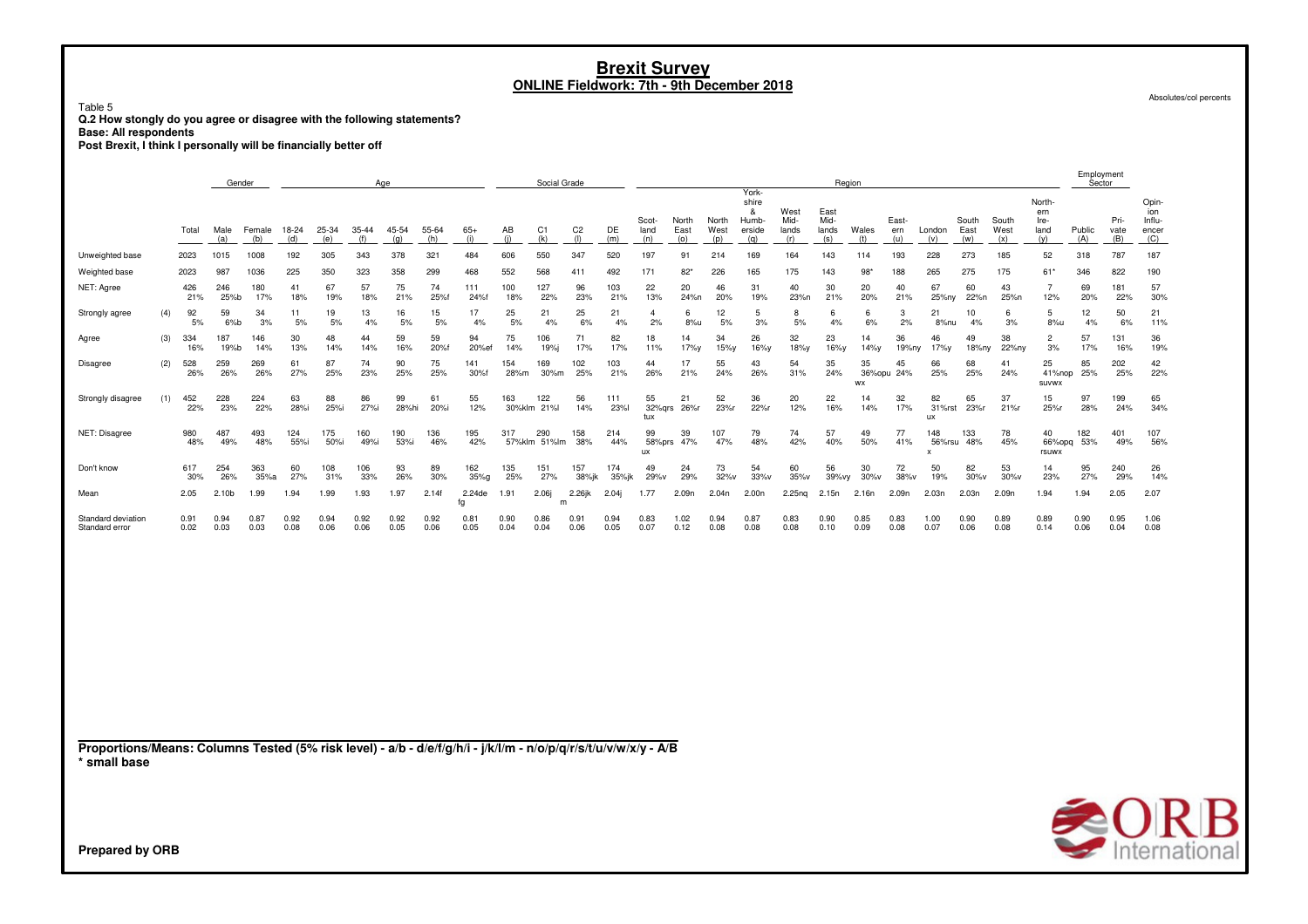Table 5 **Q.2 How stongly do you agree or disagree with the following statements?**

**Base: All respondents**

**Post Brexit, I think I personally will be financially better off**

|                                                                                                                                 |     |              | Age<br>Gender |               |              |              |              |              |              |              |              | Social Grade          |                       |              |                      |                      |                      |                                               |                              |                              | Region       |                     |                                            |                      |                      |                                      | Sector            |                     |                                        |
|---------------------------------------------------------------------------------------------------------------------------------|-----|--------------|---------------|---------------|--------------|--------------|--------------|--------------|--------------|--------------|--------------|-----------------------|-----------------------|--------------|----------------------|----------------------|----------------------|-----------------------------------------------|------------------------------|------------------------------|--------------|---------------------|--------------------------------------------|----------------------|----------------------|--------------------------------------|-------------------|---------------------|----------------------------------------|
|                                                                                                                                 |     | Total        | Male<br>(a)   | Female<br>(b) | 18-24<br>(d) | 25-34<br>(e) | 35-44<br>(f) | 45-54<br>(g) | 55-64<br>(h) | $65+$<br>(i) | AB<br>(i)    | C <sub>1</sub><br>(k) | C <sub>2</sub><br>(1) | DE<br>(m)    | Scot-<br>land<br>(n) | North<br>East<br>(o) | North<br>West<br>(p) | York-<br>shire<br>&<br>Humb-<br>erside<br>(q) | West<br>Mid-<br>lands<br>(r) | East<br>Mid-<br>lands<br>(s) | Wales<br>(t) | East-<br>ern<br>(u) | London<br>(v)                              | South<br>East<br>(w) | South<br>West<br>(x) | North-<br>ern<br>Ire-<br>land<br>(y) | Public<br>(A)     | Pri-<br>vate<br>(B) | Opin-<br>ion<br>Influ-<br>encer<br>(C) |
| Unweighted base                                                                                                                 |     | 2023         | 1015          | 1008          | 192          | 305          | 343          | 378          | 321          | 484          | 606          | 550                   | 347                   | 520          | 197                  | 91                   | 214                  | 169                                           | 164                          | 143                          | 114          | 193                 | 228                                        | 273                  | 185                  | 52                                   | 318               | 787                 | 187                                    |
| Weighted base                                                                                                                   |     | 2023         | 987           | 1036          | 225          | 350          | 323          | 358          | 299          | 468          | 552          | 568                   | 411                   | 492          | 171                  | $82*$                | 226                  | 165                                           | 175                          | 143                          | 98           | 188                 | 265                                        | 275                  | 175                  | 61'                                  | 346               | 822                 | 190                                    |
| NET: Agree                                                                                                                      |     | 426<br>21%   | 246<br>25%b   | 180<br>17%    | 41<br>18%    | 67<br>19%    | 57<br>18%    | 75<br>21%    | 74<br>25%f   | 111<br>24%f  | 100<br>18%   | 127<br>22%            | 96<br>23%             | 103<br>21%   | 22<br>13%            | 20<br>24%n           | 46<br>20%            | 31<br>19%                                     | 40<br>23%n                   | 30<br>21%                    | 20<br>20%    | 40<br>21%           | 67<br>25%ny                                | 60<br>22%n           | 43<br>25%n           | $\overline{7}$<br>12%                | 69<br>20%         | 181<br>22%          | 57<br>30%                              |
| Strongly agree                                                                                                                  | (4) | 92<br>5%     | 59<br>6%b     | 34<br>3%      | 11<br>5%     | 19<br>5%     | 13<br>4%     | 16<br>5%     | 15<br>5%     | 17<br>4%     | 25<br>5%     | 21<br>4%              | 25<br>6%              | 21<br>4%     | $\overline{4}$<br>2% | -6<br>8%u            | 12<br>5%             | 5<br>3%                                       | 8<br>5%                      | 6<br>4%                      | 6<br>6%      | 3<br>2%             | 21<br>8%nu                                 | 10<br>4%             | 6<br>3%              | 5<br>8%u                             | 12<br>4%          | 50<br>6%            | 21<br>11%                              |
| Agree                                                                                                                           | (3) | 334<br>16%   | 187<br>19%b   | 146<br>14%    | 30<br>13%    | 48<br>14%    | 44<br>14%    | 59<br>16%    | 59<br>20%f   | 94<br>20%ef  | 75<br>14%    | 106<br>19%j           | 71<br>17%             | 82<br>17%    | 18<br>11%            | 14<br>17%y           | 34<br>15%y           | 26<br>16%y                                    | 32<br>18%y                   | 23<br>16%y                   | 14<br>14%y   | 36<br>19%ny         | 46<br>17%y                                 | 49<br>18%ny          | 38<br>22%ny          | $\overline{2}$<br>3%                 | 57<br>17%         | 131<br>16%          | 36<br>19%                              |
| Disagree                                                                                                                        | (2) | 528<br>26%   | 259<br>26%    | 269<br>26%    | 61<br>27%    | 87<br>25%    | 74<br>23%    | 90<br>25%    | 75<br>25%    | 141<br>30%f  | 154<br>28%m  | 169<br>30%m           | 102<br>25%            | 103<br>21%   | 44<br>26%            | 17<br>21%            | 55<br>24%            | 43<br>26%                                     | 54<br>31%                    | 35<br>24%                    | 35<br>WX     | 45<br>36%opu 24%    | 66<br>25%                                  | 68<br>25%            | 41<br>24%            | 25<br>41%nop<br><b>SUVWX</b>         | 85<br>25%         | 202<br>25%          | 42<br>22%                              |
| Strongly disagree                                                                                                               | (1) | 452<br>22%   | 228<br>23%    | 224<br>22%    | 63<br>28%i   | 88<br>25%i   | 86<br>27%i   | 99<br>28%hi  | 61<br>20%i   | 55<br>12%    | 163          | 122<br>30%klm 21%l    | 56<br>14%             | 111<br>23%l  | 55<br>tux            | 21<br>32%grs 26%r    | 52<br>23%r           | 36<br>22%r                                    | 20<br>12%                    | 22<br>16%                    | 14<br>14%    | 32<br>17%           | 82<br>31%rst<br>ux                         | 65<br>23%r           | 37<br>21%r           | 15<br>25%r                           | 97<br>28%         | 199<br>24%          | 65<br>34%                              |
| NET: Disagree                                                                                                                   |     | 980<br>48%   | 487<br>49%    | 493<br>48%    | 124<br>55%i  | 175<br>50%i  | 160<br>49%i  | 190<br>53%i  | 136<br>46%   | 195<br>42%   | 317          | 290<br>57%klm 51%lm   | 158<br>38%            | 214<br>44%   | 99<br>58%prs<br>ux   | 39<br>47%            | 107<br>47%           | 79<br>48%                                     | 74<br>42%                    | 57<br>40%                    | 49<br>50%    | 77<br>41%           | 148<br>56%rsu<br>$\boldsymbol{\mathsf{x}}$ | 133<br>48%           | 78<br>45%            | 40<br>rsuwx                          | 182<br>66%opq 53% | 401<br>49%          | 107<br>56%                             |
| Don't know                                                                                                                      |     | 617<br>30%   | 254<br>26%    | 363<br>35%a   | 60<br>27%    | 108<br>31%   | 106<br>33%   | 93<br>26%    | 89<br>30%    | 162<br>35%g  | 135<br>25%   | 151<br>27%            | 157<br>38%jk          | 174<br>35%jk | 49<br>29%v           | 24<br>29%            | 73<br>32%v           | 54<br>33%v                                    | 60<br>35%v                   | 56<br>39%vy                  | 30<br>30%v   | 72<br>38%v          | 50<br>19%                                  | 82<br>30%v           | 53<br>30%v           | 14<br>23%                            | 95<br>27%         | 240<br>29%          | 26<br>14%                              |
| Mean                                                                                                                            |     | 2.05         | 2.10b         | 1.99          | 1.94         | 1.99         | 1.93         | 1.97         | 2.14f        | 2.24de<br>fg | 1.91         | 2.06j<br>m            | 2.26jk                | 2.04j        | 1.77                 | 2.09n                | 2.04n                | 2.00n                                         | 2.25 <sub>ng</sub>           | 2.15n                        | 2.16n        | 2.09n               | 2.03n                                      | 2.03n                | 2.09n                | 1.94                                 | 1.94              | 2.05                | 2.07                                   |
| Standard deviation<br>Standard error                                                                                            |     | 0.91<br>0.02 | 0.94<br>0.03  | 0.87<br>0.03  | 0.92<br>0.08 | 0.94<br>0.06 | 0.92<br>0.06 | 0.92<br>0.05 | 0.92<br>0.06 | 0.81<br>0.05 | 0.90<br>0.04 | 0.86<br>0.04          | 0.91<br>0.06          | 0.94<br>0.05 | 0.83<br>0.07         | 1.02<br>0.12         | 0.94<br>0.08         | 0.87<br>0.08                                  | 0.83<br>0.08                 | 0.90<br>0.10                 | 0.85<br>0.09 | 0.83<br>0.08        | 1.00<br>0.07                               | 0.90<br>0.06         | 0.89<br>0.08         | 0.89<br>0.14                         | 0.90<br>0.06      | 0.95<br>0.04        | 1.06<br>0.08                           |
|                                                                                                                                 |     |              |               |               |              |              |              |              |              |              |              |                       |                       |              |                      |                      |                      |                                               |                              |                              |              |                     |                                            |                      |                      |                                      |                   |                     |                                        |
|                                                                                                                                 |     |              |               |               |              |              |              |              |              |              |              |                       |                       |              |                      |                      |                      |                                               |                              |                              |              |                     |                                            |                      |                      |                                      |                   |                     |                                        |
|                                                                                                                                 |     |              |               |               |              |              |              |              |              |              |              |                       |                       |              |                      |                      |                      |                                               |                              |                              |              |                     |                                            |                      |                      |                                      |                   |                     |                                        |
| Proportions/Means: Columns Tested (5% risk level) - a/b - d/e/f/g/h/i - j/k/l/m - n/o/p/q/r/s/t/u/v/w/x/y - A/B<br>* small base |     |              |               |               |              |              |              |              |              |              |              |                       |                       |              |                      |                      |                      |                                               |                              |                              |              |                     |                                            |                      |                      |                                      |                   |                     |                                        |
|                                                                                                                                 |     |              |               |               |              |              |              |              |              |              |              |                       |                       |              |                      |                      |                      |                                               |                              |                              |              |                     |                                            |                      |                      |                                      |                   |                     |                                        |
|                                                                                                                                 |     |              |               |               |              |              |              |              |              |              |              |                       |                       |              |                      |                      |                      |                                               |                              |                              |              |                     |                                            |                      |                      |                                      |                   | <b>SORB</b>         |                                        |
| <b>Prepared by ORB</b>                                                                                                          |     |              |               |               |              |              |              |              |              |              |              |                       |                       |              |                      |                      |                      |                                               |                              |                              |              |                     |                                            |                      |                      |                                      |                   |                     |                                        |

Absolutes/col percents

Employment